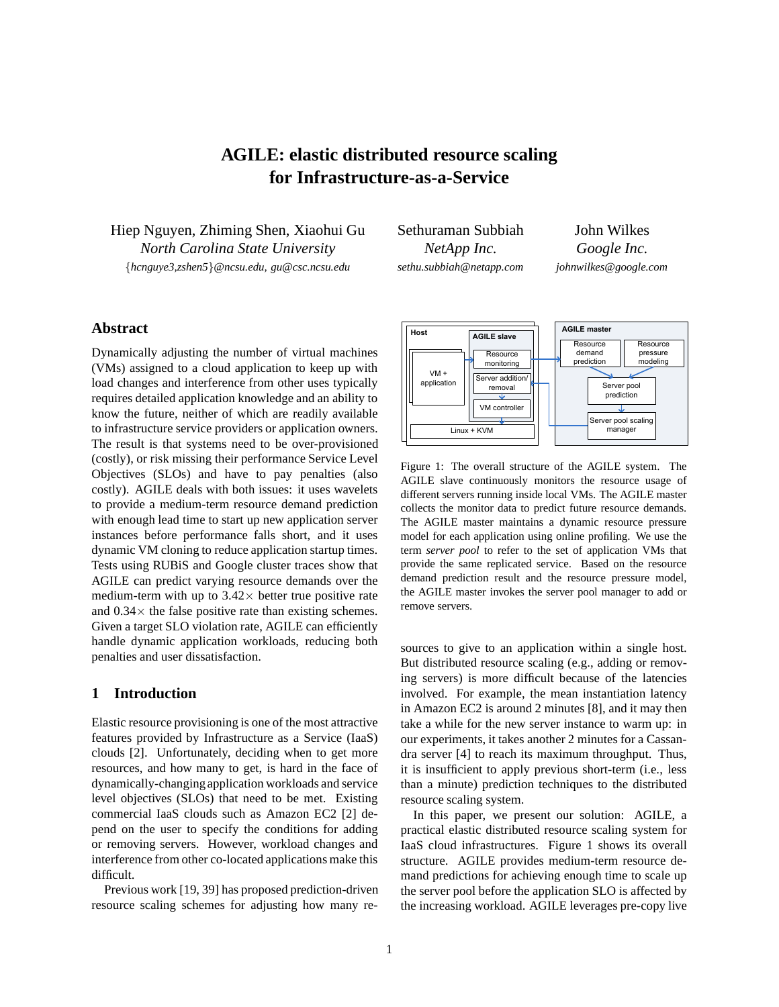# **AGILE: elastic distributed resource scaling for Infrastructure-as-a-Service**

Hiep Nguyen, Zhiming Shen, Xiaohui Gu *North Carolina State University* {*hcnguye3,zshen5*}*@ncsu.edu, gu@csc.ncsu.edu*

Sethuraman Subbiah *NetApp Inc. sethu.subbiah@netapp.com*

John Wilkes *Google Inc. johnwilkes@google.com*

# **Abstract**

Dynamically adjusting the number of virtual machines (VMs) assigned to a cloud application to keep up with load changes and interference from other uses typically requires detailed application knowledge and an ability to know the future, neither of which are readily available to infrastructure service providers or application owners. The result is that systems need to be over-provisioned (costly), or risk missing their performance Service Level Objectives (SLOs) and have to pay penalties (also costly). AGILE deals with both issues: it uses wavelets to provide a medium-term resource demand prediction with enough lead time to start up new application server instances before performance falls short, and it uses dynamic VM cloning to reduce application startup times. Tests using RUBiS and Google cluster traces show that AGILE can predict varying resource demands over the medium-term with up to  $3.42\times$  better true positive rate and  $0.34 \times$  the false positive rate than existing schemes. Given a target SLO violation rate, AGILE can efficiently handle dynamic application workloads, reducing both penalties and user dissatisfaction.

# **1 Introduction**

Elastic resource provisioning is one of the most attractive features provided by Infrastructure as a Service (IaaS) clouds [2]. Unfortunately, deciding when to get more resources, and how many to get, is hard in the face of dynamically-changing application workloads and service level objectives (SLOs) that need to be met. Existing commercial IaaS clouds such as Amazon EC2 [2] depend on the user to specify the conditions for adding or removing servers. However, workload changes and interference from other co-located applications make this difficult.

Previous work [19, 39] has proposed prediction-driven resource scaling schemes for adjusting how many re-



Figure 1: The overall structure of the AGILE system. The AGILE slave continuously monitors the resource usage of different servers running inside local VMs. The AGILE master collects the monitor data to predict future resource demands. The AGILE master maintains a dynamic resource pressure model for each application using online profiling. We use the term *server pool* to refer to the set of application VMs that provide the same replicated service. Based on the resource demand prediction result and the resource pressure model, the AGILE master invokes the server pool manager to add or remove servers.

sources to give to an application within a single host. But distributed resource scaling (e.g., adding or removing servers) is more difficult because of the latencies involved. For example, the mean instantiation latency in Amazon EC2 is around 2 minutes [8], and it may then take a while for the new server instance to warm up: in our experiments, it takes another 2 minutes for a Cassandra server [4] to reach its maximum throughput. Thus, it is insufficient to apply previous short-term (i.e., less than a minute) prediction techniques to the distributed resource scaling system.

In this paper, we present our solution: AGILE, a practical elastic distributed resource scaling system for IaaS cloud infrastructures. Figure 1 shows its overall structure. AGILE provides medium-term resource demand predictions for achieving enough time to scale up the server pool before the application SLO is affected by the increasing workload. AGILE leverages pre-copy live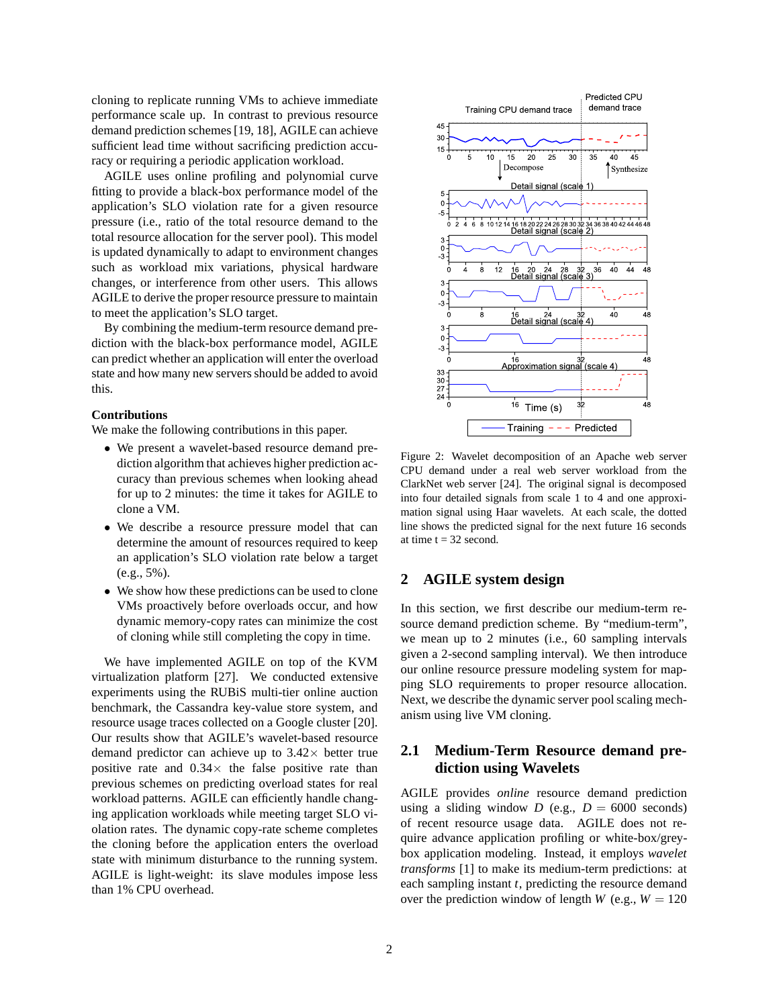cloning to replicate running VMs to achieve immediate performance scale up. In contrast to previous resource demand prediction schemes [19, 18], AGILE can achieve sufficient lead time without sacrificing prediction accuracy or requiring a periodic application workload.

AGILE uses online profiling and polynomial curve fitting to provide a black-box performance model of the application's SLO violation rate for a given resource pressure (i.e., ratio of the total resource demand to the total resource allocation for the server pool). This model is updated dynamically to adapt to environment changes such as workload mix variations, physical hardware changes, or interference from other users. This allows AGILE to derive the proper resource pressure to maintain to meet the application's SLO target.

By combining the medium-term resource demand prediction with the black-box performance model, AGILE can predict whether an application will enter the overload state and how many new servers should be added to avoid this.

#### **Contributions**

We make the following contributions in this paper.

- We present a wavelet-based resource demand prediction algorithm that achieves higher prediction accuracy than previous schemes when looking ahead for up to 2 minutes: the time it takes for AGILE to clone a VM.
- We describe a resource pressure model that can determine the amount of resources required to keep an application's SLO violation rate below a target (e.g., 5%).
- We show how these predictions can be used to clone VMs proactively before overloads occur, and how dynamic memory-copy rates can minimize the cost of cloning while still completing the copy in time.

We have implemented AGILE on top of the KVM virtualization platform [27]. We conducted extensive experiments using the RUBiS multi-tier online auction benchmark, the Cassandra key-value store system, and resource usage traces collected on a Google cluster [20]. Our results show that AGILE's wavelet-based resource demand predictor can achieve up to  $3.42\times$  better true positive rate and  $0.34 \times$  the false positive rate than previous schemes on predicting overload states for real workload patterns. AGILE can efficiently handle changing application workloads while meeting target SLO violation rates. The dynamic copy-rate scheme completes the cloning before the application enters the overload state with minimum disturbance to the running system. AGILE is light-weight: its slave modules impose less than 1% CPU overhead.



Figure 2: Wavelet decomposition of an Apache web server CPU demand under a real web server workload from the ClarkNet web server [24]. The original signal is decomposed into four detailed signals from scale 1 to 4 and one approximation signal using Haar wavelets. At each scale, the dotted line shows the predicted signal for the next future 16 seconds at time  $t = 32$  second.

## **2 AGILE system design**

In this section, we first describe our medium-term resource demand prediction scheme. By "medium-term", we mean up to 2 minutes (i.e., 60 sampling intervals given a 2-second sampling interval). We then introduce our online resource pressure modeling system for mapping SLO requirements to proper resource allocation. Next, we describe the dynamic server pool scaling mechanism using live VM cloning.

# **2.1 Medium-Term Resource demand prediction using Wavelets**

AGILE provides *online* resource demand prediction using a sliding window *D* (e.g.,  $D = 6000$  seconds) of recent resource usage data. AGILE does not require advance application profiling or white-box/greybox application modeling. Instead, it employs *wavelet transforms* [1] to make its medium-term predictions: at each sampling instant *t*, predicting the resource demand over the prediction window of length *W* (e.g.,  $W = 120$ )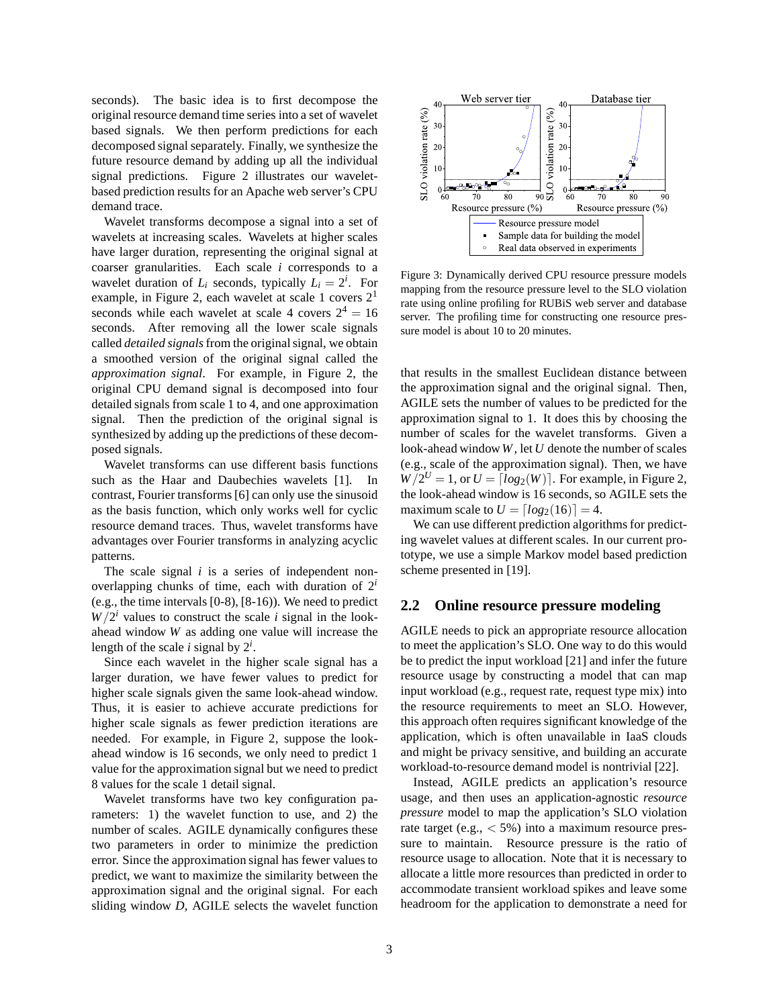seconds). The basic idea is to first decompose the original resource demand time series into a set of wavelet based signals. We then perform predictions for each decomposed signal separately. Finally, we synthesize the future resource demand by adding up all the individual signal predictions. Figure 2 illustrates our waveletbased prediction results for an Apache web server's CPU demand trace.

Wavelet transforms decompose a signal into a set of wavelets at increasing scales. Wavelets at higher scales have larger duration, representing the original signal at coarser granularities. Each scale *i* corresponds to a wavelet duration of  $L_i$  seconds, typically  $L_i = 2^i$ . For example, in Figure 2, each wavelet at scale 1 covers  $2<sup>1</sup>$ seconds while each wavelet at scale 4 covers  $2^4 = 16$ seconds. After removing all the lower scale signals called *detailed signals*from the original signal, we obtain a smoothed version of the original signal called the *approximation signal*. For example, in Figure 2, the original CPU demand signal is decomposed into four detailed signals from scale 1 to 4, and one approximation signal. Then the prediction of the original signal is synthesized by adding up the predictions of these decomposed signals.

Wavelet transforms can use different basis functions such as the Haar and Daubechies wavelets [1]. In contrast, Fourier transforms [6] can only use the sinusoid as the basis function, which only works well for cyclic resource demand traces. Thus, wavelet transforms have advantages over Fourier transforms in analyzing acyclic patterns.

The scale signal *i* is a series of independent nonoverlapping chunks of time, each with duration of  $2^i$ (e.g., the time intervals [0-8), [8-16)). We need to predict  $W/2^i$  values to construct the scale *i* signal in the lookahead window *W* as adding one value will increase the length of the scale  $i$  signal by  $2^i$ .

Since each wavelet in the higher scale signal has a larger duration, we have fewer values to predict for higher scale signals given the same look-ahead window. Thus, it is easier to achieve accurate predictions for higher scale signals as fewer prediction iterations are needed. For example, in Figure 2, suppose the lookahead window is 16 seconds, we only need to predict 1 value for the approximation signal but we need to predict 8 values for the scale 1 detail signal.

Wavelet transforms have two key configuration parameters: 1) the wavelet function to use, and 2) the number of scales. AGILE dynamically configures these two parameters in order to minimize the prediction error. Since the approximation signal has fewer values to predict, we want to maximize the similarity between the approximation signal and the original signal. For each sliding window *D*, AGILE selects the wavelet function



Figure 3: Dynamically derived CPU resource pressure models mapping from the resource pressure level to the SLO violation rate using online profiling for RUBiS web server and database server. The profiling time for constructing one resource pressure model is about 10 to 20 minutes.

that results in the smallest Euclidean distance between the approximation signal and the original signal. Then, AGILE sets the number of values to be predicted for the approximation signal to 1. It does this by choosing the number of scales for the wavelet transforms. Given a look-ahead window*W*, let *U* denote the number of scales (e.g., scale of the approximation signal). Then, we have  $W/2^U = 1$ , or  $U = \lfloor log_2(W) \rfloor$ . For example, in Figure 2, the look-ahead window is 16 seconds, so AGILE sets the maximum scale to  $U = \lfloor log_2(16) \rfloor = 4$ .

We can use different prediction algorithms for predicting wavelet values at different scales. In our current prototype, we use a simple Markov model based prediction scheme presented in [19].

#### **2.2 Online resource pressure modeling**

AGILE needs to pick an appropriate resource allocation to meet the application's SLO. One way to do this would be to predict the input workload [21] and infer the future resource usage by constructing a model that can map input workload (e.g., request rate, request type mix) into the resource requirements to meet an SLO. However, this approach often requires significant knowledge of the application, which is often unavailable in IaaS clouds and might be privacy sensitive, and building an accurate workload-to-resource demand model is nontrivial [22].

Instead, AGILE predicts an application's resource usage, and then uses an application-agnostic *resource pressure* model to map the application's SLO violation rate target (e.g., < 5%) into a maximum resource pressure to maintain. Resource pressure is the ratio of resource usage to allocation. Note that it is necessary to allocate a little more resources than predicted in order to accommodate transient workload spikes and leave some headroom for the application to demonstrate a need for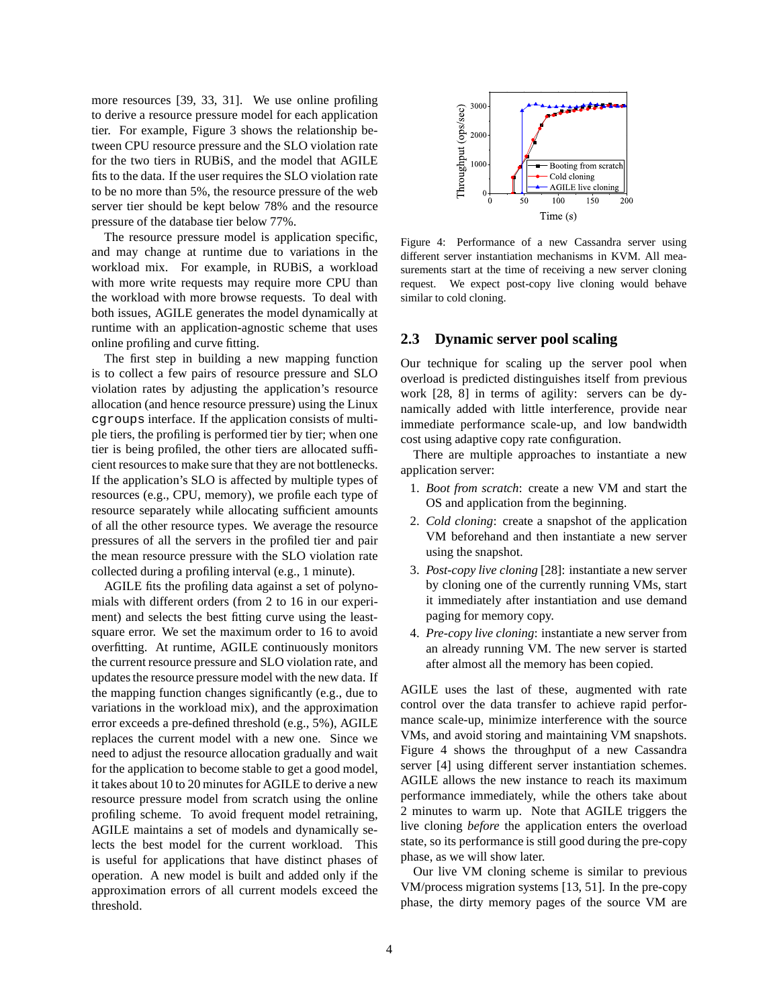more resources [39, 33, 31]. We use online profiling to derive a resource pressure model for each application tier. For example, Figure 3 shows the relationship between CPU resource pressure and the SLO violation rate for the two tiers in RUBiS, and the model that AGILE fits to the data. If the user requires the SLO violation rate to be no more than 5%, the resource pressure of the web server tier should be kept below 78% and the resource pressure of the database tier below 77%.

The resource pressure model is application specific, and may change at runtime due to variations in the workload mix. For example, in RUBiS, a workload with more write requests may require more CPU than the workload with more browse requests. To deal with both issues, AGILE generates the model dynamically at runtime with an application-agnostic scheme that uses online profiling and curve fitting.

The first step in building a new mapping function is to collect a few pairs of resource pressure and SLO violation rates by adjusting the application's resource allocation (and hence resource pressure) using the Linux cgroups interface. If the application consists of multiple tiers, the profiling is performed tier by tier; when one tier is being profiled, the other tiers are allocated sufficient resources to make sure that they are not bottlenecks. If the application's SLO is affected by multiple types of resources (e.g., CPU, memory), we profile each type of resource separately while allocating sufficient amounts of all the other resource types. We average the resource pressures of all the servers in the profiled tier and pair the mean resource pressure with the SLO violation rate collected during a profiling interval (e.g., 1 minute).

AGILE fits the profiling data against a set of polynomials with different orders (from 2 to 16 in our experiment) and selects the best fitting curve using the leastsquare error. We set the maximum order to 16 to avoid overfitting. At runtime, AGILE continuously monitors the current resource pressure and SLO violation rate, and updates the resource pressure model with the new data. If the mapping function changes significantly (e.g., due to variations in the workload mix), and the approximation error exceeds a pre-defined threshold (e.g., 5%), AGILE replaces the current model with a new one. Since we need to adjust the resource allocation gradually and wait for the application to become stable to get a good model, it takes about 10 to 20 minutes for AGILE to derive a new resource pressure model from scratch using the online profiling scheme. To avoid frequent model retraining, AGILE maintains a set of models and dynamically selects the best model for the current workload. This is useful for applications that have distinct phases of operation. A new model is built and added only if the approximation errors of all current models exceed the threshold.



Figure 4: Performance of a new Cassandra server using different server instantiation mechanisms in KVM. All measurements start at the time of receiving a new server cloning request. We expect post-copy live cloning would behave similar to cold cloning.

#### **2.3 Dynamic server pool scaling**

Our technique for scaling up the server pool when overload is predicted distinguishes itself from previous work [28, 8] in terms of agility: servers can be dynamically added with little interference, provide near immediate performance scale-up, and low bandwidth cost using adaptive copy rate configuration.

There are multiple approaches to instantiate a new application server:

- 1. *Boot from scratch*: create a new VM and start the OS and application from the beginning.
- 2. *Cold cloning*: create a snapshot of the application VM beforehand and then instantiate a new server using the snapshot.
- 3. *Post-copy live cloning* [28]: instantiate a new server by cloning one of the currently running VMs, start it immediately after instantiation and use demand paging for memory copy.
- 4. *Pre-copy live cloning*: instantiate a new server from an already running VM. The new server is started after almost all the memory has been copied.

AGILE uses the last of these, augmented with rate control over the data transfer to achieve rapid performance scale-up, minimize interference with the source VMs, and avoid storing and maintaining VM snapshots. Figure 4 shows the throughput of a new Cassandra server [4] using different server instantiation schemes. AGILE allows the new instance to reach its maximum performance immediately, while the others take about 2 minutes to warm up. Note that AGILE triggers the live cloning *before* the application enters the overload state, so its performance is still good during the pre-copy phase, as we will show later.

Our live VM cloning scheme is similar to previous VM/process migration systems [13, 51]. In the pre-copy phase, the dirty memory pages of the source VM are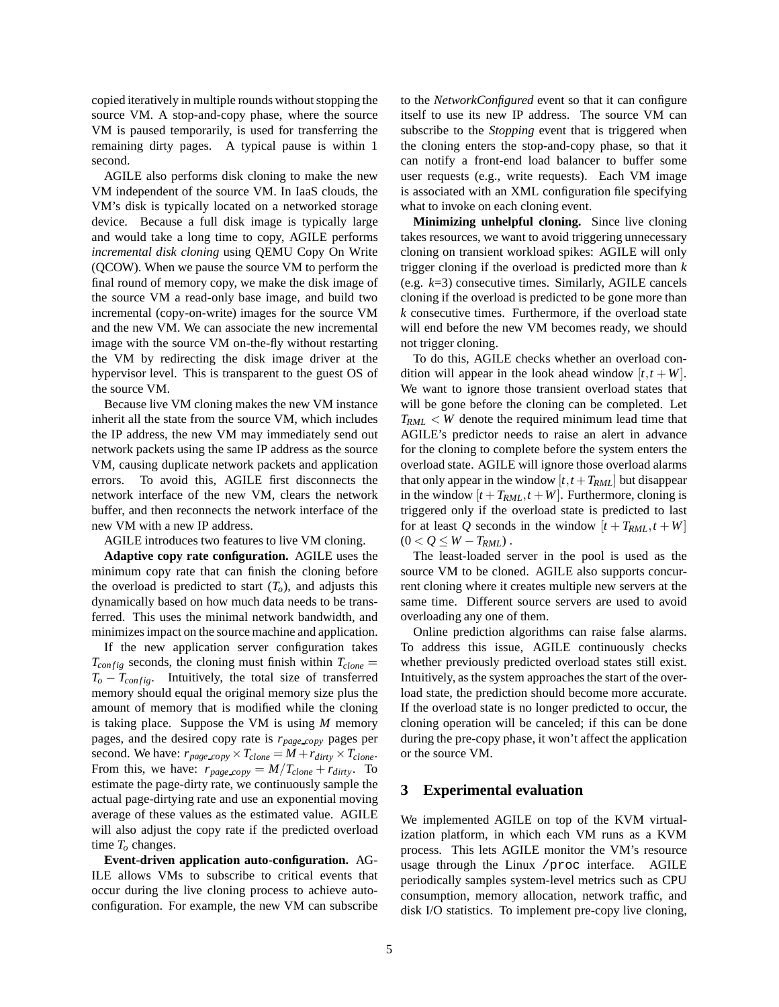copied iteratively in multiple rounds without stopping the source VM. A stop-and-copy phase, where the source VM is paused temporarily, is used for transferring the remaining dirty pages. A typical pause is within 1 second.

AGILE also performs disk cloning to make the new VM independent of the source VM. In IaaS clouds, the VM's disk is typically located on a networked storage device. Because a full disk image is typically large and would take a long time to copy, AGILE performs *incremental disk cloning* using QEMU Copy On Write (QCOW). When we pause the source VM to perform the final round of memory copy, we make the disk image of the source VM a read-only base image, and build two incremental (copy-on-write) images for the source VM and the new VM. We can associate the new incremental image with the source VM on-the-fly without restarting the VM by redirecting the disk image driver at the hypervisor level. This is transparent to the guest OS of the source VM.

Because live VM cloning makes the new VM instance inherit all the state from the source VM, which includes the IP address, the new VM may immediately send out network packets using the same IP address as the source VM, causing duplicate network packets and application errors. To avoid this, AGILE first disconnects the network interface of the new VM, clears the network buffer, and then reconnects the network interface of the new VM with a new IP address.

AGILE introduces two features to live VM cloning.

**Adaptive copy rate configuration.** AGILE uses the minimum copy rate that can finish the cloning before the overload is predicted to start  $(T<sub>o</sub>)$ , and adjusts this dynamically based on how much data needs to be transferred. This uses the minimal network bandwidth, and minimizes impact on the source machine and application.

If the new application server configuration takes  $T_{config}$  seconds, the cloning must finish within  $T_{clone}$  $T_o - T_{config}$ . Intuitively, the total size of transferred memory should equal the original memory size plus the amount of memory that is modified while the cloning is taking place. Suppose the VM is using *M* memory pages, and the desired copy rate is *rpage copy* pages per second. We have:  $r_{page\,copy} \times T_{clone} = M + r_{dirty} \times T_{clone}$ . From this, we have:  $r_{page\,copy} = M/T_{clone} + r_{dirty}$ . To estimate the page-dirty rate, we continuously sample the actual page-dirtying rate and use an exponential moving average of these values as the estimated value. AGILE will also adjust the copy rate if the predicted overload time *T<sup>o</sup>* changes.

**Event-driven application auto-configuration.** AG-ILE allows VMs to subscribe to critical events that occur during the live cloning process to achieve autoconfiguration. For example, the new VM can subscribe to the *NetworkConfigured* event so that it can configure itself to use its new IP address. The source VM can subscribe to the *Stopping* event that is triggered when the cloning enters the stop-and-copy phase, so that it can notify a front-end load balancer to buffer some user requests (e.g., write requests). Each VM image is associated with an XML configuration file specifying what to invoke on each cloning event.

**Minimizing unhelpful cloning.** Since live cloning takes resources, we want to avoid triggering unnecessary cloning on transient workload spikes: AGILE will only trigger cloning if the overload is predicted more than *k* (e.g. *k*=3) consecutive times. Similarly, AGILE cancels cloning if the overload is predicted to be gone more than *k* consecutive times. Furthermore, if the overload state will end before the new VM becomes ready, we should not trigger cloning.

To do this, AGILE checks whether an overload condition will appear in the look ahead window  $[t, t + W]$ . We want to ignore those transient overload states that will be gone before the cloning can be completed. Let  $T_{RML}$  < *W* denote the required minimum lead time that AGILE's predictor needs to raise an alert in advance for the cloning to complete before the system enters the overload state. AGILE will ignore those overload alarms that only appear in the window  $[t, t + T_{RML}]$  but disappear in the window  $[t + T_{RML}, t + W]$ . Furthermore, cloning is triggered only if the overload state is predicted to last for at least *Q* seconds in the window  $[t + T_{RML}, t + W]$  $(0 < Q \leq W - T_{RML})$ .

The least-loaded server in the pool is used as the source VM to be cloned. AGILE also supports concurrent cloning where it creates multiple new servers at the same time. Different source servers are used to avoid overloading any one of them.

Online prediction algorithms can raise false alarms. To address this issue, AGILE continuously checks whether previously predicted overload states still exist. Intuitively, as the system approaches the start of the overload state, the prediction should become more accurate. If the overload state is no longer predicted to occur, the cloning operation will be canceled; if this can be done during the pre-copy phase, it won't affect the application or the source VM.

#### **3 Experimental evaluation**

We implemented AGILE on top of the KVM virtualization platform, in which each VM runs as a KVM process. This lets AGILE monitor the VM's resource usage through the Linux /proc interface. AGILE periodically samples system-level metrics such as CPU consumption, memory allocation, network traffic, and disk I/O statistics. To implement pre-copy live cloning,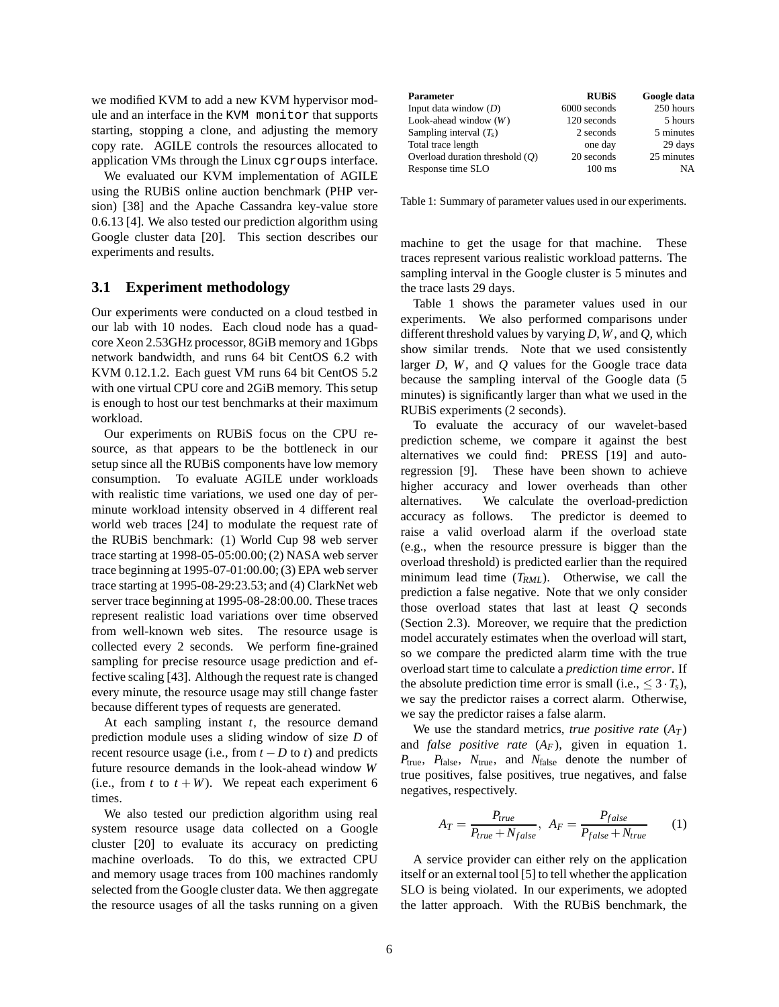we modified KVM to add a new KVM hypervisor module and an interface in the KVM monitor that supports starting, stopping a clone, and adjusting the memory copy rate. AGILE controls the resources allocated to application VMs through the Linux cgroups interface.

We evaluated our KVM implementation of AGILE using the RUBiS online auction benchmark (PHP version) [38] and the Apache Cassandra key-value store 0.6.13 [4]. We also tested our prediction algorithm using Google cluster data [20]. This section describes our experiments and results.

## **3.1 Experiment methodology**

Our experiments were conducted on a cloud testbed in our lab with 10 nodes. Each cloud node has a quadcore Xeon 2.53GHz processor, 8GiB memory and 1Gbps network bandwidth, and runs 64 bit CentOS 6.2 with KVM 0.12.1.2. Each guest VM runs 64 bit CentOS 5.2 with one virtual CPU core and 2GiB memory. This setup is enough to host our test benchmarks at their maximum workload.

Our experiments on RUBiS focus on the CPU resource, as that appears to be the bottleneck in our setup since all the RUBiS components have low memory consumption. To evaluate AGILE under workloads with realistic time variations, we used one day of perminute workload intensity observed in 4 different real world web traces [24] to modulate the request rate of the RUBiS benchmark: (1) World Cup 98 web server trace starting at 1998-05-05:00.00; (2) NASA web server trace beginning at 1995-07-01:00.00; (3) EPA web server trace starting at 1995-08-29:23.53; and (4) ClarkNet web server trace beginning at 1995-08-28:00.00. These traces represent realistic load variations over time observed from well-known web sites. The resource usage is collected every 2 seconds. We perform fine-grained sampling for precise resource usage prediction and effective scaling [43]. Although the request rate is changed every minute, the resource usage may still change faster because different types of requests are generated.

At each sampling instant *t*, the resource demand prediction module uses a sliding window of size *D* of recent resource usage (i.e., from  $t - D$  to  $t$ ) and predicts future resource demands in the look-ahead window *W* (i.e., from  $t$  to  $t + W$ ). We repeat each experiment 6 times.

We also tested our prediction algorithm using real system resource usage data collected on a Google cluster [20] to evaluate its accuracy on predicting machine overloads. To do this, we extracted CPU and memory usage traces from 100 machines randomly selected from the Google cluster data. We then aggregate the resource usages of all the tasks running on a given

| <b>Parameter</b>                  | <b>RUBIS</b>     | Google data |
|-----------------------------------|------------------|-------------|
| Input data window $(D)$           | 6000 seconds     | 250 hours   |
| Look-ahead window $(W)$           | 120 seconds      | 5 hours     |
| Sampling interval $(T_s)$         | 2 seconds        | 5 minutes   |
| Total trace length                | one day          | 29 days     |
| Overload duration threshold $(Q)$ | 20 seconds       | 25 minutes  |
| Response time SLO                 | $100 \text{ ms}$ | NA          |

Table 1: Summary of parameter values used in our experiments.

machine to get the usage for that machine. These traces represent various realistic workload patterns. The sampling interval in the Google cluster is 5 minutes and the trace lasts 29 days.

Table 1 shows the parameter values used in our experiments. We also performed comparisons under different threshold values by varying *D*, *W*, and *Q*, which show similar trends. Note that we used consistently larger *D*, *W*, and *Q* values for the Google trace data because the sampling interval of the Google data (5 minutes) is significantly larger than what we used in the RUBiS experiments (2 seconds).

To evaluate the accuracy of our wavelet-based prediction scheme, we compare it against the best alternatives we could find: PRESS [19] and autoregression [9]. These have been shown to achieve higher accuracy and lower overheads than other alternatives. We calculate the overload-prediction accuracy as follows. The predictor is deemed to raise a valid overload alarm if the overload state (e.g., when the resource pressure is bigger than the overload threshold) is predicted earlier than the required minimum lead time (*TRML*). Otherwise, we call the prediction a false negative. Note that we only consider those overload states that last at least *Q* seconds (Section 2.3). Moreover, we require that the prediction model accurately estimates when the overload will start, so we compare the predicted alarm time with the true overload start time to calculate a *prediction time error*. If the absolute prediction time error is small (i.e.,  $\leq 3 \cdot T_s$ ), we say the predictor raises a correct alarm. Otherwise, we say the predictor raises a false alarm.

We use the standard metrics, *true positive rate*  $(A_T)$ and *false positive rate*  $(A_F)$ , given in equation 1. *P*true, *P*false, *N*true, and *N*false denote the number of true positives, false positives, true negatives, and false negatives, respectively.

$$
A_T = \frac{P_{true}}{P_{true} + N_{false}}, \ A_F = \frac{P_{false}}{P_{false} + N_{true}} \tag{1}
$$

A service provider can either rely on the application itself or an external tool [5] to tell whether the application SLO is being violated. In our experiments, we adopted the latter approach. With the RUBiS benchmark, the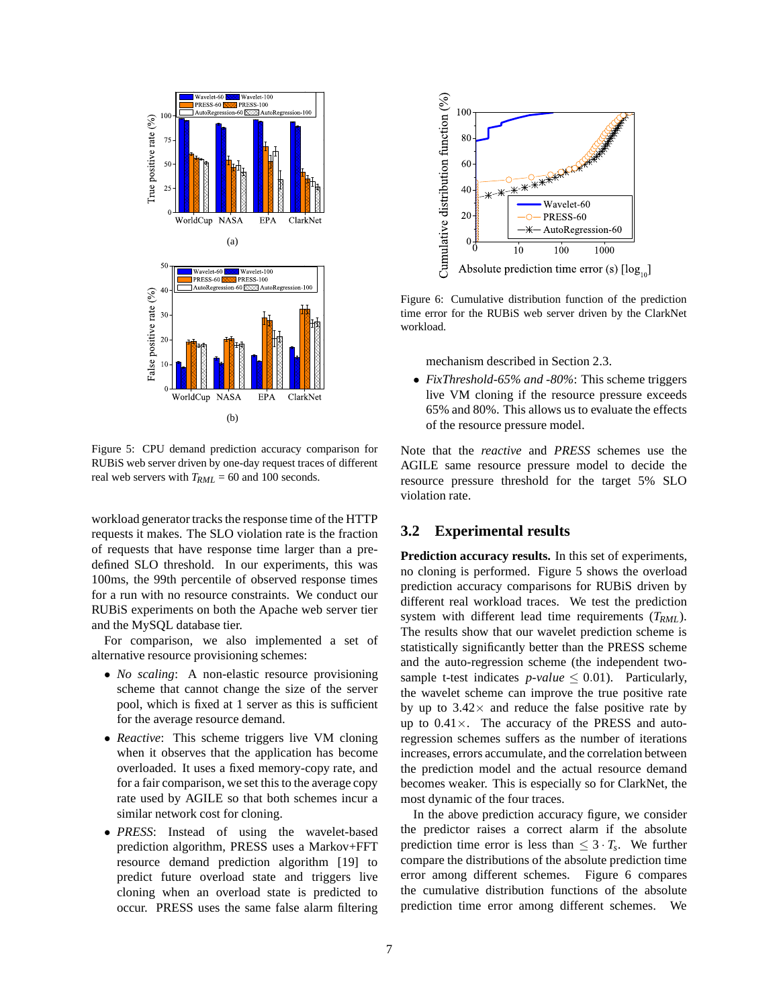

Figure 5: CPU demand prediction accuracy comparison for RUBiS web server driven by one-day request traces of different real web servers with *TRML* = 60 and 100 seconds.

workload generator tracks the response time of the HTTP requests it makes. The SLO violation rate is the fraction of requests that have response time larger than a predefined SLO threshold. In our experiments, this was 100ms, the 99th percentile of observed response times for a run with no resource constraints. We conduct our RUBiS experiments on both the Apache web server tier and the MySQL database tier.

For comparison, we also implemented a set of alternative resource provisioning schemes:

- *No scaling*: A non-elastic resource provisioning scheme that cannot change the size of the server pool, which is fixed at 1 server as this is sufficient for the average resource demand.
- *Reactive*: This scheme triggers live VM cloning when it observes that the application has become overloaded. It uses a fixed memory-copy rate, and for a fair comparison, we set this to the average copy rate used by AGILE so that both schemes incur a similar network cost for cloning.
- *PRESS*: Instead of using the wavelet-based prediction algorithm, PRESS uses a Markov+FFT resource demand prediction algorithm [19] to predict future overload state and triggers live cloning when an overload state is predicted to occur. PRESS uses the same false alarm filtering



Figure 6: Cumulative distribution function of the prediction time error for the RUBiS web server driven by the ClarkNet workload.

mechanism described in Section 2.3.

• *FixThreshold-65% and -80%*: This scheme triggers live VM cloning if the resource pressure exceeds 65% and 80%. This allows us to evaluate the effects of the resource pressure model.

Note that the *reactive* and *PRESS* schemes use the AGILE same resource pressure model to decide the resource pressure threshold for the target 5% SLO violation rate.

# **3.2 Experimental results**

**Prediction accuracy results.** In this set of experiments, no cloning is performed. Figure 5 shows the overload prediction accuracy comparisons for RUBiS driven by different real workload traces. We test the prediction system with different lead time requirements (*TRML*). The results show that our wavelet prediction scheme is statistically significantly better than the PRESS scheme and the auto-regression scheme (the independent twosample t-test indicates  $p$ -*value*  $\leq$  0.01). Particularly, the wavelet scheme can improve the true positive rate by up to  $3.42\times$  and reduce the false positive rate by up to  $0.41 \times$ . The accuracy of the PRESS and autoregression schemes suffers as the number of iterations increases, errors accumulate, and the correlation between the prediction model and the actual resource demand becomes weaker. This is especially so for ClarkNet, the most dynamic of the four traces.

In the above prediction accuracy figure, we consider the predictor raises a correct alarm if the absolute prediction time error is less than  $\leq 3 \cdot T_s$ . We further compare the distributions of the absolute prediction time error among different schemes. Figure 6 compares the cumulative distribution functions of the absolute prediction time error among different schemes. We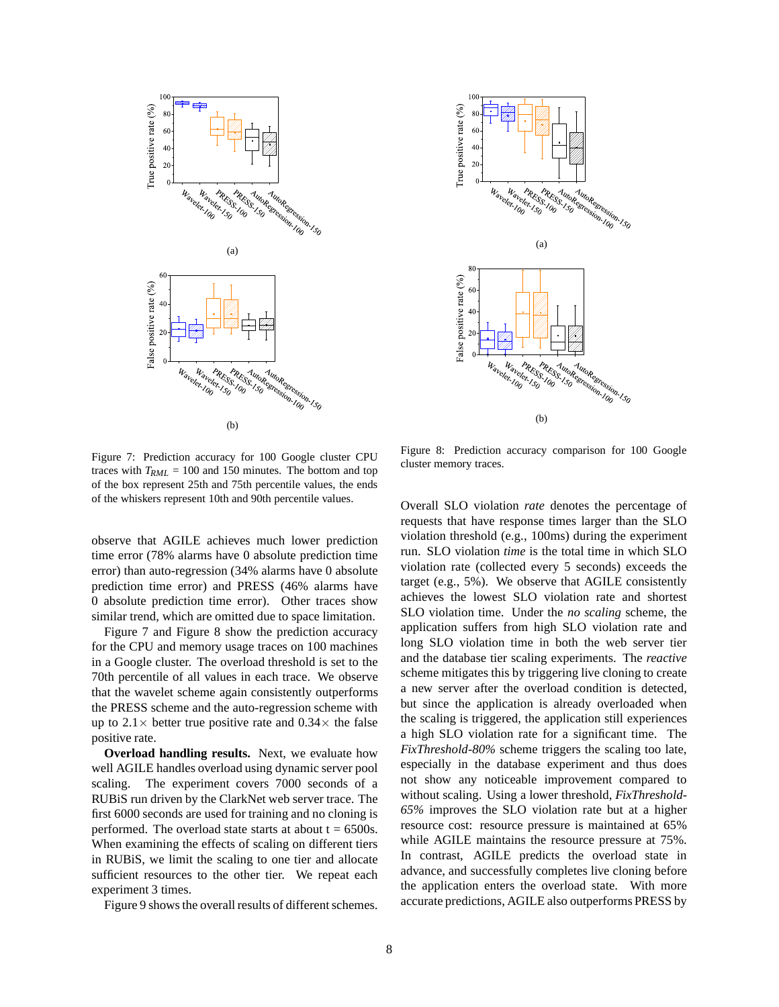



Figure 7: Prediction accuracy for 100 Google cluster CPU traces with  $T_{RML}$  = 100 and 150 minutes. The bottom and top of the box represent 25th and 75th percentile values, the ends of the whiskers represent 10th and 90th percentile values.

Figure 8: Prediction accuracy comparison for 100 Google cluster memory traces.

observe that AGILE achieves much lower prediction time error (78% alarms have 0 absolute prediction time error) than auto-regression (34% alarms have 0 absolute prediction time error) and PRESS (46% alarms have 0 absolute prediction time error). Other traces show similar trend, which are omitted due to space limitation.

Figure 7 and Figure 8 show the prediction accuracy for the CPU and memory usage traces on 100 machines in a Google cluster. The overload threshold is set to the 70th percentile of all values in each trace. We observe that the wavelet scheme again consistently outperforms the PRESS scheme and the auto-regression scheme with up to  $2.1 \times$  better true positive rate and  $0.34 \times$  the false positive rate.

**Overload handling results.** Next, we evaluate how well AGILE handles overload using dynamic server pool scaling. The experiment covers 7000 seconds of a RUBiS run driven by the ClarkNet web server trace. The first 6000 seconds are used for training and no cloning is performed. The overload state starts at about  $t = 6500s$ . When examining the effects of scaling on different tiers in RUBiS, we limit the scaling to one tier and allocate sufficient resources to the other tier. We repeat each experiment 3 times.

Figure 9 shows the overall results of different schemes.

Overall SLO violation *rate* denotes the percentage of requests that have response times larger than the SLO violation threshold (e.g., 100ms) during the experiment run. SLO violation *time* is the total time in which SLO violation rate (collected every 5 seconds) exceeds the target (e.g., 5%). We observe that AGILE consistently achieves the lowest SLO violation rate and shortest SLO violation time. Under the *no scaling* scheme, the application suffers from high SLO violation rate and long SLO violation time in both the web server tier and the database tier scaling experiments. The *reactive* scheme mitigates this by triggering live cloning to create a new server after the overload condition is detected, but since the application is already overloaded when the scaling is triggered, the application still experiences a high SLO violation rate for a significant time. The *FixThreshold-80%* scheme triggers the scaling too late, especially in the database experiment and thus does not show any noticeable improvement compared to without scaling. Using a lower threshold, *FixThreshold-65%* improves the SLO violation rate but at a higher resource cost: resource pressure is maintained at 65% while AGILE maintains the resource pressure at 75%. In contrast, AGILE predicts the overload state in advance, and successfully completes live cloning before the application enters the overload state. With more accurate predictions, AGILE also outperforms PRESS by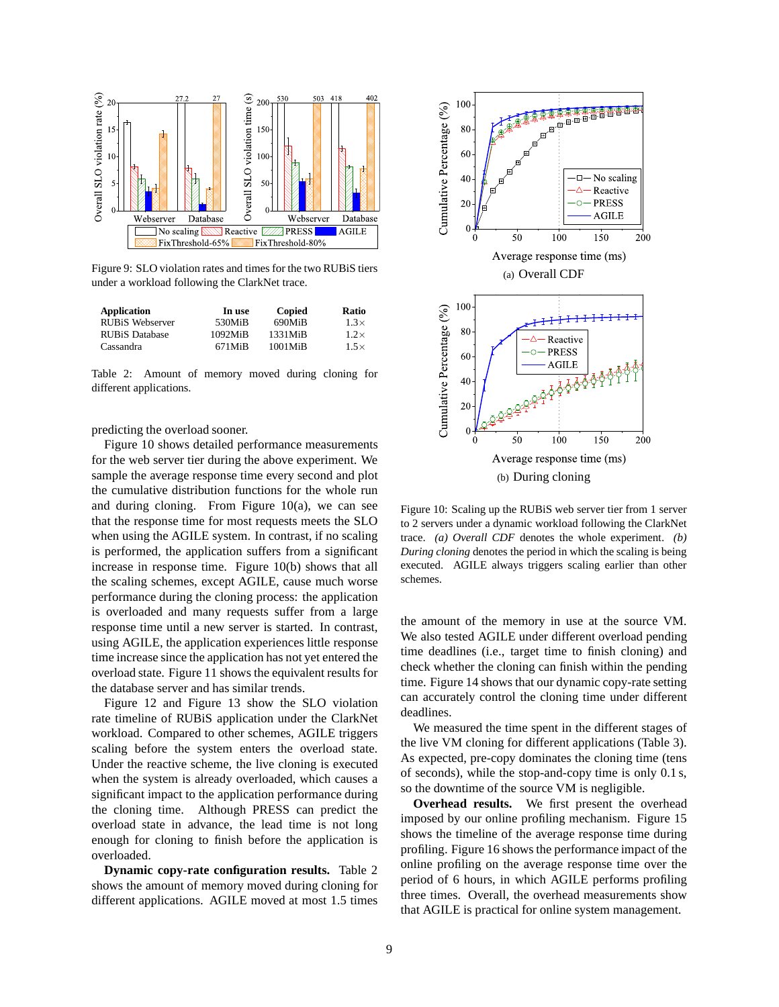

Figure 9: SLO violation rates and times for the two RUBiS tiers under a workload following the ClarkNet trace.

| <b>Application</b>     | In use              | Copied               | Ratio       |
|------------------------|---------------------|----------------------|-------------|
| <b>RUBIS Webserver</b> | 530MiB              | 690MiB               | $1.3\times$ |
| <b>RUBiS Database</b>  | $1092M$ iB          | 1331MiB              | $1.2\times$ |
| Cassandra              | 671M <sub>i</sub> B | 1001M <sub>i</sub> B | $1.5\times$ |

Table 2: Amount of memory moved during cloning for different applications.

predicting the overload sooner.

Figure 10 shows detailed performance measurements for the web server tier during the above experiment. We sample the average response time every second and plot the cumulative distribution functions for the whole run and during cloning. From Figure  $10(a)$ , we can see that the response time for most requests meets the SLO when using the AGILE system. In contrast, if no scaling is performed, the application suffers from a significant increase in response time. Figure 10(b) shows that all the scaling schemes, except AGILE, cause much worse performance during the cloning process: the application is overloaded and many requests suffer from a large response time until a new server is started. In contrast, using AGILE, the application experiences little response time increase since the application has not yet entered the overload state. Figure 11 shows the equivalent results for the database server and has similar trends.

Figure 12 and Figure 13 show the SLO violation rate timeline of RUBiS application under the ClarkNet workload. Compared to other schemes, AGILE triggers scaling before the system enters the overload state. Under the reactive scheme, the live cloning is executed when the system is already overloaded, which causes a significant impact to the application performance during the cloning time. Although PRESS can predict the overload state in advance, the lead time is not long enough for cloning to finish before the application is overloaded.

**Dynamic copy-rate configuration results.** Table 2 shows the amount of memory moved during cloning for different applications. AGILE moved at most 1.5 times



Figure 10: Scaling up the RUBiS web server tier from 1 server to 2 servers under a dynamic workload following the ClarkNet trace. *(a) Overall CDF* denotes the whole experiment. *(b) During cloning* denotes the period in which the scaling is being executed. AGILE always triggers scaling earlier than other schemes.

the amount of the memory in use at the source VM. We also tested AGILE under different overload pending time deadlines (i.e., target time to finish cloning) and check whether the cloning can finish within the pending time. Figure 14 shows that our dynamic copy-rate setting can accurately control the cloning time under different deadlines.

We measured the time spent in the different stages of the live VM cloning for different applications (Table 3). As expected, pre-copy dominates the cloning time (tens of seconds), while the stop-and-copy time is only 0.1 s, so the downtime of the source VM is negligible.

**Overhead results.** We first present the overhead imposed by our online profiling mechanism. Figure 15 shows the timeline of the average response time during profiling. Figure 16 shows the performance impact of the online profiling on the average response time over the period of 6 hours, in which AGILE performs profiling three times. Overall, the overhead measurements show that AGILE is practical for online system management.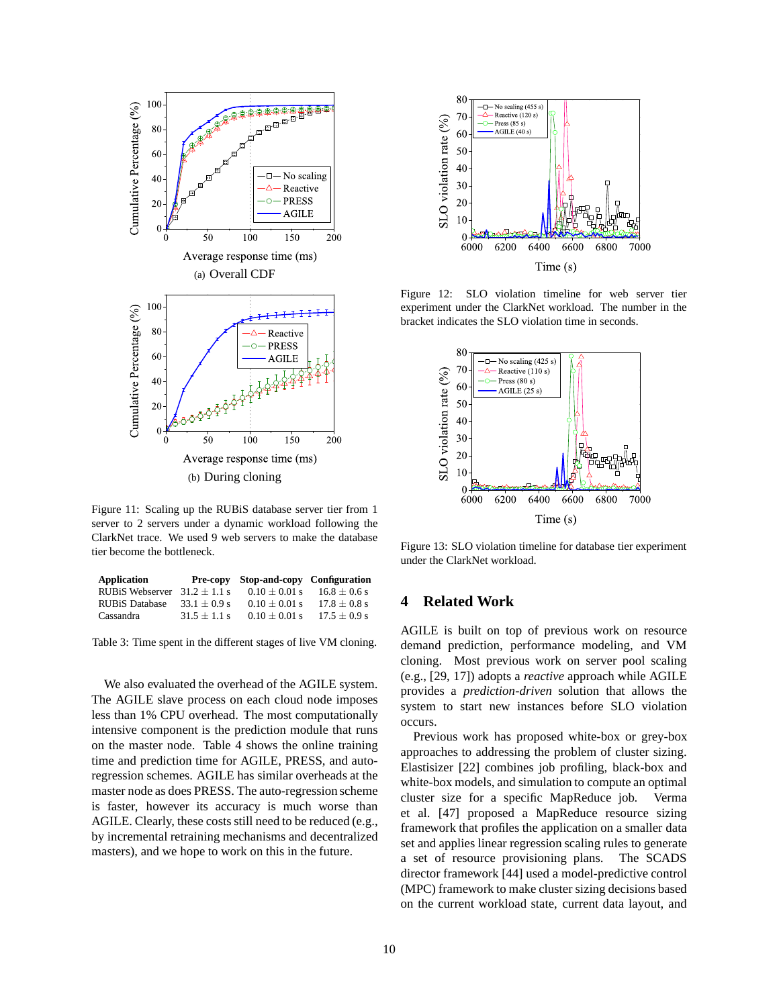

Figure 11: Scaling up the RUBiS database server tier from 1 server to 2 servers under a dynamic workload following the ClarkNet trace. We used 9 web servers to make the database tier become the bottleneck.

| Application            |                | Pre-copy Stop-and-copy Configuration |                  |
|------------------------|----------------|--------------------------------------|------------------|
| <b>RUBiS Webserver</b> | $31.2 + 1.1$ s | $0.10 + 0.01$ s                      | $16.8 \pm 0.6$ s |
| <b>RUBiS Database</b>  | $33.1 + 0.9$ s | $0.10 + 0.01$ s                      | $17.8 + 0.8$ s   |
| Cassandra              | $31.5 + 1.1$ s | $0.10 + 0.01$ s                      | $17.5 \pm 0.9$ s |

Table 3: Time spent in the different stages of live VM cloning.

We also evaluated the overhead of the AGILE system. The AGILE slave process on each cloud node imposes less than 1% CPU overhead. The most computationally intensive component is the prediction module that runs on the master node. Table 4 shows the online training time and prediction time for AGILE, PRESS, and autoregression schemes. AGILE has similar overheads at the master node as does PRESS. The auto-regression scheme is faster, however its accuracy is much worse than AGILE. Clearly, these costs still need to be reduced (e.g., by incremental retraining mechanisms and decentralized masters), and we hope to work on this in the future.



Figure 12: SLO violation timeline for web server tier experiment under the ClarkNet workload. The number in the bracket indicates the SLO violation time in seconds.



Figure 13: SLO violation timeline for database tier experiment under the ClarkNet workload.

# **4 Related Work**

AGILE is built on top of previous work on resource demand prediction, performance modeling, and VM cloning. Most previous work on server pool scaling (e.g., [29, 17]) adopts a *reactive* approach while AGILE provides a *prediction-driven* solution that allows the system to start new instances before SLO violation occurs.

Previous work has proposed white-box or grey-box approaches to addressing the problem of cluster sizing. Elastisizer [22] combines job profiling, black-box and white-box models, and simulation to compute an optimal cluster size for a specific MapReduce job. Verma et al. [47] proposed a MapReduce resource sizing framework that profiles the application on a smaller data set and applies linear regression scaling rules to generate a set of resource provisioning plans. The SCADS director framework [44] used a model-predictive control (MPC) framework to make cluster sizing decisions based on the current workload state, current data layout, and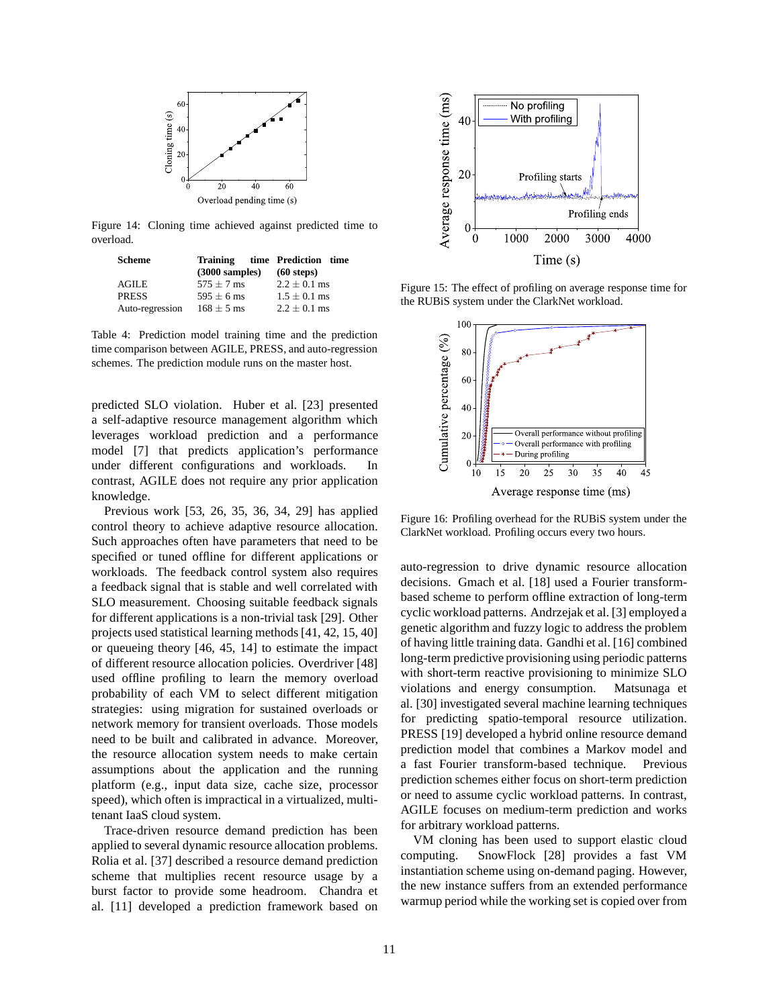

Figure 14: Cloning time achieved against predicted time to overload.

| Scheme          |                          | Training time Prediction time |
|-----------------|--------------------------|-------------------------------|
|                 | $(3000 \text{ samples})$ | $(60$ steps)                  |
| AGILE           | $575 \pm 7$ ms           | $2.2 \pm 0.1$ ms              |
| PRESS           | $595 \pm 6$ ms           | $1.5 \pm 0.1$ ms              |
| Auto-regression | $168 \pm 5$ ms           | $2.2 \pm 0.1$ ms              |

Table 4: Prediction model training time and the prediction time comparison between AGILE, PRESS, and auto-regression schemes. The prediction module runs on the master host.

predicted SLO violation. Huber et al. [23] presented a self-adaptive resource management algorithm which leverages workload prediction and a performance model [7] that predicts application's performance under different configurations and workloads. In contrast, AGILE does not require any prior application knowledge.

Previous work [53, 26, 35, 36, 34, 29] has applied control theory to achieve adaptive resource allocation. Such approaches often have parameters that need to be specified or tuned offline for different applications or workloads. The feedback control system also requires a feedback signal that is stable and well correlated with SLO measurement. Choosing suitable feedback signals for different applications is a non-trivial task [29]. Other projects used statistical learning methods [41, 42, 15, 40] or queueing theory [46, 45, 14] to estimate the impact of different resource allocation policies. Overdriver [48] used offline profiling to learn the memory overload probability of each VM to select different mitigation strategies: using migration for sustained overloads or network memory for transient overloads. Those models need to be built and calibrated in advance. Moreover, the resource allocation system needs to make certain assumptions about the application and the running platform (e.g., input data size, cache size, processor speed), which often is impractical in a virtualized, multitenant IaaS cloud system.

Trace-driven resource demand prediction has been applied to several dynamic resource allocation problems. Rolia et al. [37] described a resource demand prediction scheme that multiplies recent resource usage by a burst factor to provide some headroom. Chandra et al. [11] developed a prediction framework based on



Figure 15: The effect of profiling on average response time for the RUBiS system under the ClarkNet workload.



Figure 16: Profiling overhead for the RUBiS system under the ClarkNet workload. Profiling occurs every two hours.

auto-regression to drive dynamic resource allocation decisions. Gmach et al. [18] used a Fourier transformbased scheme to perform offline extraction of long-term cyclic workload patterns. Andrzejak et al. [3] employed a genetic algorithm and fuzzy logic to address the problem of having little training data. Gandhi et al. [16] combined long-term predictive provisioning using periodic patterns with short-term reactive provisioning to minimize SLO violations and energy consumption. Matsunaga et al. [30] investigated several machine learning techniques for predicting spatio-temporal resource utilization. PRESS [19] developed a hybrid online resource demand prediction model that combines a Markov model and a fast Fourier transform-based technique. Previous prediction schemes either focus on short-term prediction or need to assume cyclic workload patterns. In contrast, AGILE focuses on medium-term prediction and works for arbitrary workload patterns.

VM cloning has been used to support elastic cloud computing. SnowFlock [28] provides a fast VM instantiation scheme using on-demand paging. However, the new instance suffers from an extended performance warmup period while the working set is copied over from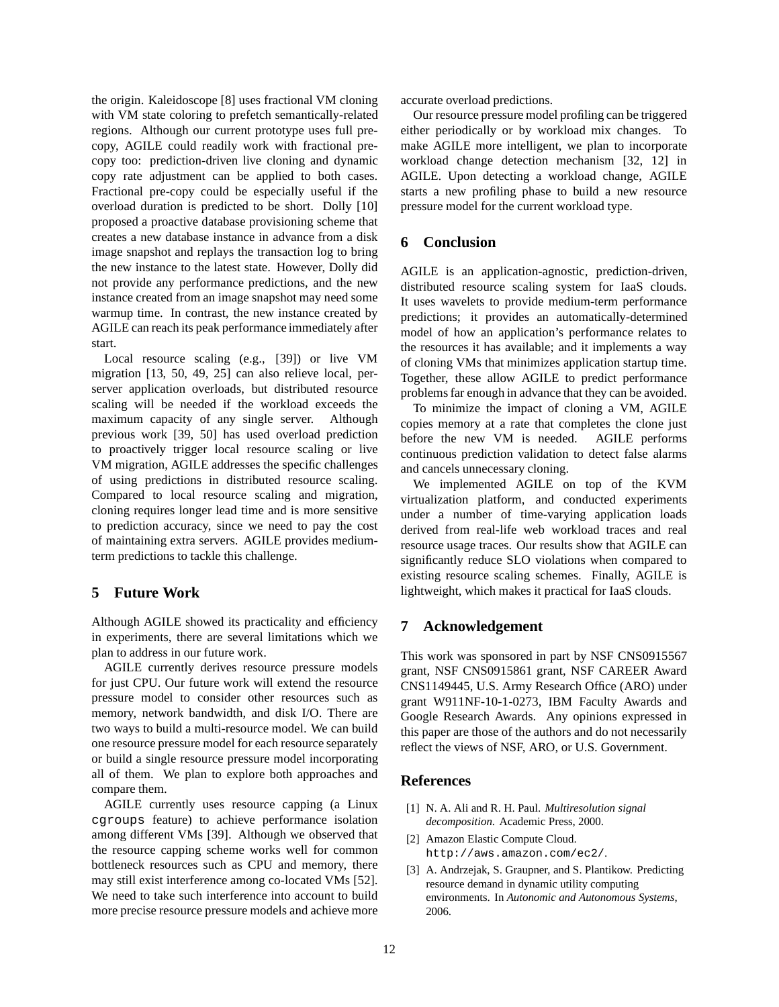the origin. Kaleidoscope [8] uses fractional VM cloning with VM state coloring to prefetch semantically-related regions. Although our current prototype uses full precopy, AGILE could readily work with fractional precopy too: prediction-driven live cloning and dynamic copy rate adjustment can be applied to both cases. Fractional pre-copy could be especially useful if the overload duration is predicted to be short. Dolly [10] proposed a proactive database provisioning scheme that creates a new database instance in advance from a disk image snapshot and replays the transaction log to bring the new instance to the latest state. However, Dolly did not provide any performance predictions, and the new instance created from an image snapshot may need some warmup time. In contrast, the new instance created by AGILE can reach its peak performance immediately after start.

Local resource scaling (e.g., [39]) or live VM migration [13, 50, 49, 25] can also relieve local, perserver application overloads, but distributed resource scaling will be needed if the workload exceeds the maximum capacity of any single server. Although previous work [39, 50] has used overload prediction to proactively trigger local resource scaling or live VM migration, AGILE addresses the specific challenges of using predictions in distributed resource scaling. Compared to local resource scaling and migration, cloning requires longer lead time and is more sensitive to prediction accuracy, since we need to pay the cost of maintaining extra servers. AGILE provides mediumterm predictions to tackle this challenge.

# **5 Future Work**

Although AGILE showed its practicality and efficiency in experiments, there are several limitations which we plan to address in our future work.

AGILE currently derives resource pressure models for just CPU. Our future work will extend the resource pressure model to consider other resources such as memory, network bandwidth, and disk I/O. There are two ways to build a multi-resource model. We can build one resource pressure model for each resource separately or build a single resource pressure model incorporating all of them. We plan to explore both approaches and compare them.

AGILE currently uses resource capping (a Linux cgroups feature) to achieve performance isolation among different VMs [39]. Although we observed that the resource capping scheme works well for common bottleneck resources such as CPU and memory, there may still exist interference among co-located VMs [52]. We need to take such interference into account to build more precise resource pressure models and achieve more accurate overload predictions.

Our resource pressure model profiling can be triggered either periodically or by workload mix changes. To make AGILE more intelligent, we plan to incorporate workload change detection mechanism [32, 12] in AGILE. Upon detecting a workload change, AGILE starts a new profiling phase to build a new resource pressure model for the current workload type.

# **6 Conclusion**

AGILE is an application-agnostic, prediction-driven, distributed resource scaling system for IaaS clouds. It uses wavelets to provide medium-term performance predictions; it provides an automatically-determined model of how an application's performance relates to the resources it has available; and it implements a way of cloning VMs that minimizes application startup time. Together, these allow AGILE to predict performance problems far enough in advance that they can be avoided.

To minimize the impact of cloning a VM, AGILE copies memory at a rate that completes the clone just before the new VM is needed. AGILE performs continuous prediction validation to detect false alarms and cancels unnecessary cloning.

We implemented AGILE on top of the KVM virtualization platform, and conducted experiments under a number of time-varying application loads derived from real-life web workload traces and real resource usage traces. Our results show that AGILE can significantly reduce SLO violations when compared to existing resource scaling schemes. Finally, AGILE is lightweight, which makes it practical for IaaS clouds.

#### **7 Acknowledgement**

This work was sponsored in part by NSF CNS0915567 grant, NSF CNS0915861 grant, NSF CAREER Award CNS1149445, U.S. Army Research Office (ARO) under grant W911NF-10-1-0273, IBM Faculty Awards and Google Research Awards. Any opinions expressed in this paper are those of the authors and do not necessarily reflect the views of NSF, ARO, or U.S. Government.

#### **References**

- [1] N. A. Ali and R. H. Paul. *Multiresolution signal decomposition*. Academic Press, 2000.
- [2] Amazon Elastic Compute Cloud. http://aws.amazon.com/ec2/.
- [3] A. Andrzejak, S. Graupner, and S. Plantikow. Predicting resource demand in dynamic utility computing environments. In *Autonomic and Autonomous Systems*, 2006.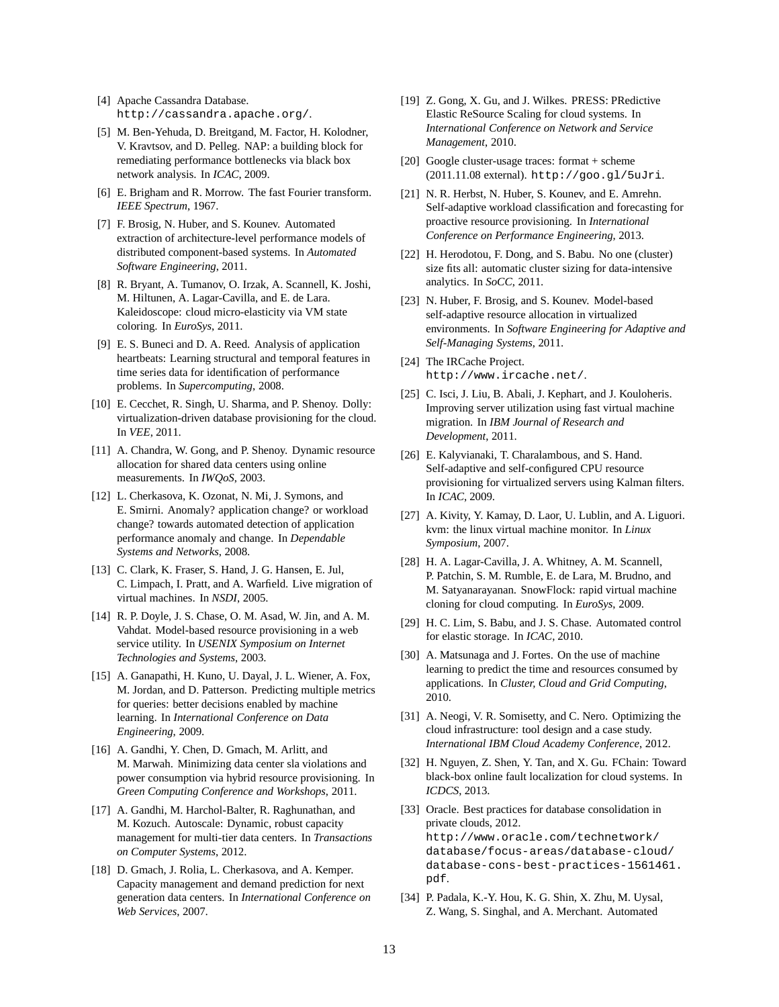- [4] Apache Cassandra Database. http://cassandra.apache.org/.
- [5] M. Ben-Yehuda, D. Breitgand, M. Factor, H. Kolodner, V. Kravtsov, and D. Pelleg. NAP: a building block for remediating performance bottlenecks via black box network analysis. In *ICAC*, 2009.
- [6] E. Brigham and R. Morrow. The fast Fourier transform. *IEEE Spectrum*, 1967.
- [7] F. Brosig, N. Huber, and S. Kounev. Automated extraction of architecture-level performance models of distributed component-based systems. In *Automated Software Engineering*, 2011.
- [8] R. Bryant, A. Tumanov, O. Irzak, A. Scannell, K. Joshi, M. Hiltunen, A. Lagar-Cavilla, and E. de Lara. Kaleidoscope: cloud micro-elasticity via VM state coloring. In *EuroSys*, 2011.
- [9] E. S. Buneci and D. A. Reed. Analysis of application heartbeats: Learning structural and temporal features in time series data for identification of performance problems. In *Supercomputing*, 2008.
- [10] E. Cecchet, R. Singh, U. Sharma, and P. Shenoy. Dolly: virtualization-driven database provisioning for the cloud. In *VEE*, 2011.
- [11] A. Chandra, W. Gong, and P. Shenoy. Dynamic resource allocation for shared data centers using online measurements. In *IWQoS*, 2003.
- [12] L. Cherkasova, K. Ozonat, N. Mi, J. Symons, and E. Smirni. Anomaly? application change? or workload change? towards automated detection of application performance anomaly and change. In *Dependable Systems and Networks*, 2008.
- [13] C. Clark, K. Fraser, S. Hand, J. G. Hansen, E. Jul, C. Limpach, I. Pratt, and A. Warfield. Live migration of virtual machines. In *NSDI*, 2005.
- [14] R. P. Doyle, J. S. Chase, O. M. Asad, W. Jin, and A. M. Vahdat. Model-based resource provisioning in a web service utility. In *USENIX Symposium on Internet Technologies and Systems*, 2003.
- [15] A. Ganapathi, H. Kuno, U. Dayal, J. L. Wiener, A. Fox, M. Jordan, and D. Patterson. Predicting multiple metrics for queries: better decisions enabled by machine learning. In *International Conference on Data Engineering*, 2009.
- [16] A. Gandhi, Y. Chen, D. Gmach, M. Arlitt, and M. Marwah. Minimizing data center sla violations and power consumption via hybrid resource provisioning. In *Green Computing Conference and Workshops*, 2011.
- [17] A. Gandhi, M. Harchol-Balter, R. Raghunathan, and M. Kozuch. Autoscale: Dynamic, robust capacity management for multi-tier data centers. In *Transactions on Computer Systems*, 2012.
- [18] D. Gmach, J. Rolia, L. Cherkasova, and A. Kemper. Capacity management and demand prediction for next generation data centers. In *International Conference on Web Services*, 2007.
- [19] Z. Gong, X. Gu, and J. Wilkes. PRESS: PRedictive Elastic ReSource Scaling for cloud systems. In *International Conference on Network and Service Management*, 2010.
- [20] Google cluster-usage traces: format + scheme (2011.11.08 external). http://goo.gl/5uJri.
- [21] N. R. Herbst, N. Huber, S. Kounev, and E. Amrehn. Self-adaptive workload classification and forecasting for proactive resource provisioning. In *International Conference on Performance Engineering*, 2013.
- [22] H. Herodotou, F. Dong, and S. Babu. No one (cluster) size fits all: automatic cluster sizing for data-intensive analytics. In *SoCC*, 2011.
- [23] N. Huber, F. Brosig, and S. Kounev. Model-based self-adaptive resource allocation in virtualized environments. In *Software Engineering for Adaptive and Self-Managing Systems*, 2011.
- [24] The IRCache Project. http://www.ircache.net/.
- [25] C. Isci, J. Liu, B. Abali, J. Kephart, and J. Kouloheris. Improving server utilization using fast virtual machine migration. In *IBM Journal of Research and Development*, 2011.
- [26] E. Kalyvianaki, T. Charalambous, and S. Hand. Self-adaptive and self-configured CPU resource provisioning for virtualized servers using Kalman filters. In *ICAC*, 2009.
- [27] A. Kivity, Y. Kamay, D. Laor, U. Lublin, and A. Liguori. kvm: the linux virtual machine monitor. In *Linux Symposium*, 2007.
- [28] H. A. Lagar-Cavilla, J. A. Whitney, A. M. Scannell, P. Patchin, S. M. Rumble, E. de Lara, M. Brudno, and M. Satyanarayanan. SnowFlock: rapid virtual machine cloning for cloud computing. In *EuroSys*, 2009.
- [29] H. C. Lim, S. Babu, and J. S. Chase. Automated control for elastic storage. In *ICAC*, 2010.
- [30] A. Matsunaga and J. Fortes. On the use of machine learning to predict the time and resources consumed by applications. In *Cluster, Cloud and Grid Computing*, 2010.
- [31] A. Neogi, V. R. Somisetty, and C. Nero. Optimizing the cloud infrastructure: tool design and a case study. *International IBM Cloud Academy Conference*, 2012.
- [32] H. Nguyen, Z. Shen, Y. Tan, and X. Gu. FChain: Toward black-box online fault localization for cloud systems. In *ICDCS*, 2013.
- [33] Oracle. Best practices for database consolidation in private clouds, 2012. http://www.oracle.com/technetwork/ database/focus-areas/database-cloud/ database-cons-best-practices-1561461. pdf.
- [34] P. Padala, K.-Y. Hou, K. G. Shin, X. Zhu, M. Uysal, Z. Wang, S. Singhal, and A. Merchant. Automated